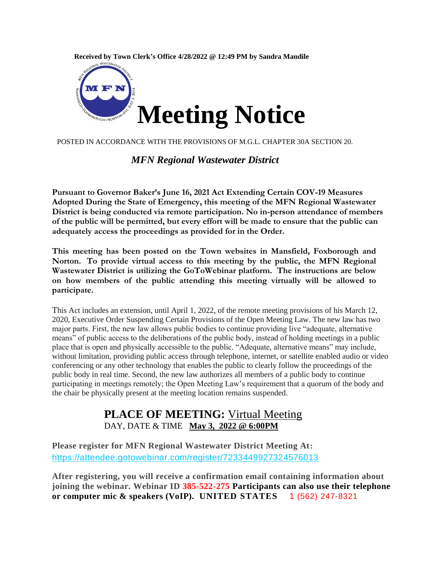



POSTED IN ACCORDANCE WITH THE PROVISIONS OF M.G.L. CHAPTER 30A SECTION 20.

#### *MFN Regional Wastewater District*

**Pursuant to Governor Baker's June 16, 2021 Act Extending Certain COV-19 Measures Adopted During the State of Emergency, this meeting of the MFN Regional Wastewater District is being conducted via remote participation. No in-person attendance of members of the public will be permitted, but every effort will be made to ensure that the public can adequately access the proceedings as provided for in the Order.**

**This meeting has been posted on the Town websites in Mansfield, Foxborough and Norton. To provide virtual access to this meeting by the public, the MFN Regional Wastewater District is utilizing the GoToWebinar platform. The instructions are below on how members of the public attending this meeting virtually will be allowed to participate.**

This Act includes an extension, until April 1, 2022, of the remote meeting provisions of his March 12, 2020, Executive Order Suspending Certain Provisions of the Open Meeting Law. The new law has two major parts. First, the new law allows public bodies to continue providing live "adequate, alternative means" of public access to the deliberations of the public body, instead of holding meetings in a public place that is open and physically accessible to the public. "Adequate, alternative means" may include, without limitation, providing public access through telephone, internet, or satellite enabled audio or video conferencing or any other technology that enables the public to clearly follow the proceedings of the public body in real time. Second, the new law authorizes all members of a public body to continue participating in meetings remotely; the Open Meeting Law's requirement that a quorum of the body and the chair be physically present at the meeting location remains suspended.

### **PLACE OF MEETING:** Virtual Meeting DAY, DATE & TIME **May 3, 2022 @ 6:00PM**

**Please register for MFN Regional Wastewater District Meeting At:**  <https://attendee.gotowebinar.com/register/7233449927324576013>

**After registering, you will receive a confirmation email containing information about joining the webinar. Webinar ID 385-522-275 Participants can also use their telephone or computer mic & speakers (VoIP). UNITED STATES** 1 (562) 247-8321